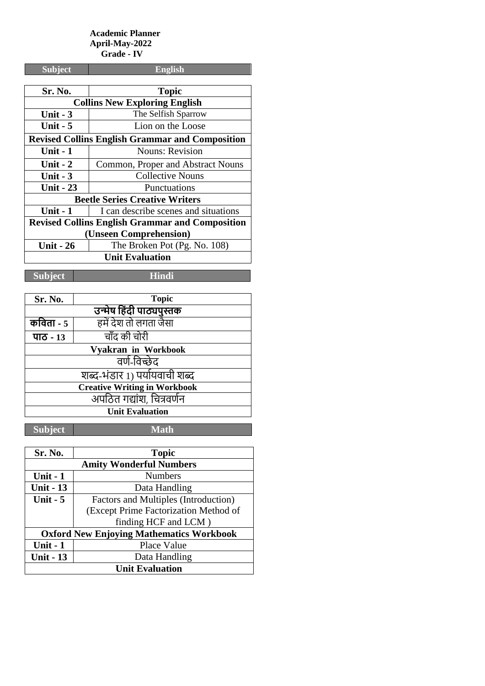#### **Academic Planner April-May-2022 Grade - IV**

| <b>Subject</b>                                         | <b>English</b>                       |
|--------------------------------------------------------|--------------------------------------|
|                                                        |                                      |
| <b>Sr. No.</b>                                         | <b>Topic</b>                         |
| <b>Collins New Exploring English</b>                   |                                      |
| Unit $-3$                                              | The Selfish Sparrow                  |
| <b>Unit - 5</b>                                        | Lion on the Loose                    |
| <b>Revised Collins English Grammar and Composition</b> |                                      |
| Unit - 1                                               | <b>Nouns: Revision</b>               |
| Unit $-2$                                              | Common, Proper and Abstract Nouns    |
| Unit $-3$                                              | Collective Nouns                     |
| <b>Unit - 23</b>                                       | Punctuations                         |
| <b>Beetle Series Creative Writers</b>                  |                                      |
| Unit $-1$                                              | I can describe scenes and situations |
| <b>Revised Collins English Grammar and Composition</b> |                                      |
| (Unseen Comprehension)                                 |                                      |
| <b>Unit - 26</b>                                       | The Broken Pot (Pg. No. 108)         |
| <b>Unit Evaluation</b>                                 |                                      |

**Subject Hindi**

| Sr. No.                             | <b>Topic</b>          |  |
|-------------------------------------|-----------------------|--|
| उन्मेष हिंदी पाठ्यपुस्तक            |                       |  |
| कविता - $5$                         | हमें देश तो लगता जैसा |  |
| पाठ - 13                            | चाँद की चोरी          |  |
| Vyakran in Workbook                 |                       |  |
| वर्ण-विच्छेद                        |                       |  |
| शब्द-भंडार 1) पर्यायवाची शब्द       |                       |  |
| <b>Creative Writing in Workbook</b> |                       |  |
| अपठित गद्यांश, चित्रवर्णन           |                       |  |
| <b>Unit Evaluation</b>              |                       |  |
|                                     |                       |  |

| Sr. No.                                         | <b>Topic</b>                          |  |
|-------------------------------------------------|---------------------------------------|--|
|                                                 | <b>Amity Wonderful Numbers</b>        |  |
| Unit $-1$                                       | <b>Numbers</b>                        |  |
| <b>Unit - 13</b>                                | Data Handling                         |  |
| Unit $-5$                                       | Factors and Multiples (Introduction)  |  |
|                                                 | (Except Prime Factorization Method of |  |
|                                                 | finding HCF and LCM)                  |  |
| <b>Oxford New Enjoying Mathematics Workbook</b> |                                       |  |
| Unit $-1$                                       | Place Value                           |  |
| <b>Unit - 13</b>                                | Data Handling                         |  |
| <b>Unit Evaluation</b>                          |                                       |  |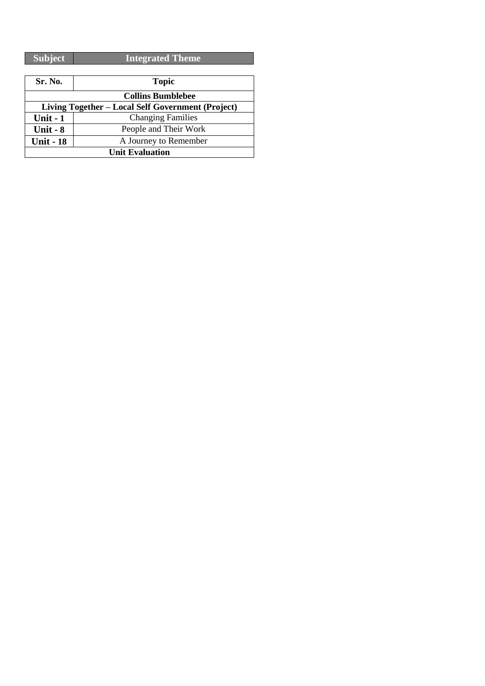| Subject | <b>Integrated Theme</b> |
|---------|-------------------------|
|         |                         |

| Sr. No.                                           | <b>Topic</b>             |
|---------------------------------------------------|--------------------------|
|                                                   | <b>Collins Bumblebee</b> |
| Living Together - Local Self Government (Project) |                          |
| Unit $-1$                                         | <b>Changing Families</b> |
| Unit - $8$                                        | People and Their Work    |
| <b>Unit - 18</b>                                  | A Journey to Remember    |
| <b>Unit Evaluation</b>                            |                          |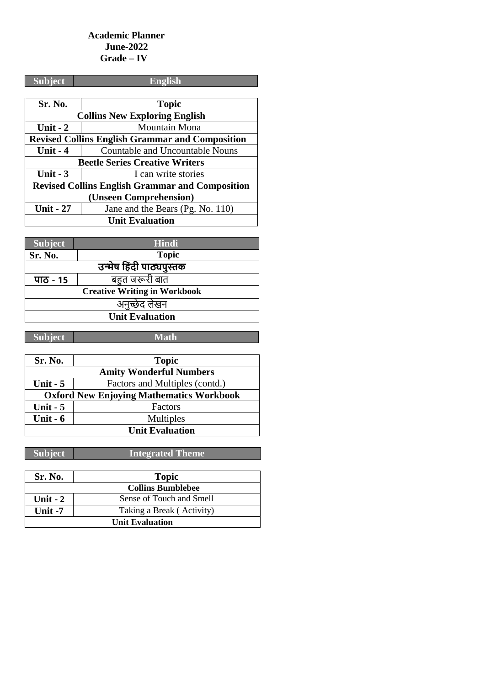### **Academic Planner June-2022 Grade – IV**

| <b>Subject</b>                                         | <b>English</b>                   |  |
|--------------------------------------------------------|----------------------------------|--|
|                                                        |                                  |  |
| Sr. No.                                                | <b>Topic</b>                     |  |
| <b>Collins New Exploring English</b>                   |                                  |  |
| Unit $-2$                                              | Mountain Mona                    |  |
| <b>Revised Collins English Grammar and Composition</b> |                                  |  |
| Unit $-4$                                              | Countable and Uncountable Nouns  |  |
| <b>Beetle Series Creative Writers</b>                  |                                  |  |
| Unit $-3$                                              | I can write stories              |  |
| <b>Revised Collins English Grammar and Composition</b> |                                  |  |
| (Unseen Comprehension)                                 |                                  |  |
| <b>Unit - 27</b>                                       | Jane and the Bears (Pg. No. 110) |  |
| <b>Unit Evaluation</b>                                 |                                  |  |

| <b>Subject</b>                      | <b>Hindi</b>   |  |
|-------------------------------------|----------------|--|
| Sr. No.                             | <b>Topic</b>   |  |
| उन्मेष हिंदी पाठ्यपुस्तक            |                |  |
| पाठ - 15                            | बहुत जरूरी बात |  |
| <b>Creative Writing in Workbook</b> |                |  |
| अनुच्छेद लेखन                       |                |  |
| <b>Unit Evaluation</b>              |                |  |

| <b>Subject</b>                                  | <b>Math</b>                    |
|-------------------------------------------------|--------------------------------|
|                                                 |                                |
| Sr. No.                                         | <b>Topic</b>                   |
|                                                 | <b>Amity Wonderful Numbers</b> |
| Unit $-5$                                       | Factors and Multiples (contd.) |
| <b>Oxford New Enjoying Mathematics Workbook</b> |                                |
| Unit $-5$                                       | Factors                        |
| Unit $-6$                                       | Multiples                      |
|                                                 | <b>Unit Evaluation</b>         |

| <b>Sr. No.</b>         | <b>Topic</b>              |
|------------------------|---------------------------|
|                        | <b>Collins Bumblebee</b>  |
| Unit $-2$              | Sense of Touch and Smell  |
| Unit $-7$              | Taking a Break (Activity) |
| <b>Unit Evaluation</b> |                           |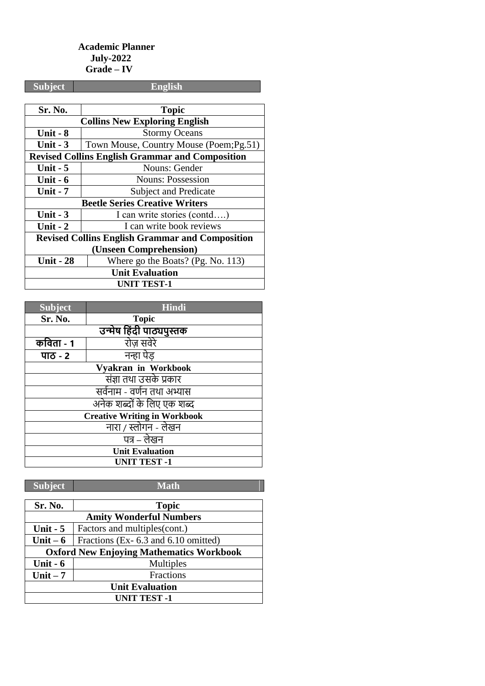## **Academic Planner July-2022 Grade – IV**

| <b>Subject</b>                                         | English                                  |  |
|--------------------------------------------------------|------------------------------------------|--|
|                                                        |                                          |  |
| Sr. No.                                                | <b>Topic</b>                             |  |
|                                                        | <b>Collins New Exploring English</b>     |  |
| Unit $-8$                                              | <b>Stormy Oceans</b>                     |  |
| Unit $-3$                                              | Town Mouse, Country Mouse (Poem; Pg. 51) |  |
| <b>Revised Collins English Grammar and Composition</b> |                                          |  |
| Unit $-5$                                              | Nouns: Gender                            |  |
| Unit $-6$                                              | <b>Nouns: Possession</b>                 |  |
| <b>Unit - 7</b>                                        | <b>Subject and Predicate</b>             |  |
| <b>Beetle Series Creative Writers</b>                  |                                          |  |
| Unit $-3$                                              | I can write stories (contd)              |  |
| Unit $-2$                                              | I can write book reviews                 |  |
| <b>Revised Collins English Grammar and Composition</b> |                                          |  |
| (Unseen Comprehension)                                 |                                          |  |
| <b>Unit - 28</b>                                       | Where go the Boats? (Pg. No. 113)        |  |
| <b>Unit Evaluation</b>                                 |                                          |  |
| <b>UNIT TEST-1</b>                                     |                                          |  |

| <b>Subject</b>                      | <b>Hindi</b>             |  |
|-------------------------------------|--------------------------|--|
| Sr. No.                             | <b>Topic</b>             |  |
|                                     | उन्मेष हिंदी पाठ्यपुस्तक |  |
| कविता - 1                           | रोज़ सवेरे               |  |
| पाठ - २                             | नन्हा पेड                |  |
| Vyakran in Workbook                 |                          |  |
| संज्ञा तथा उसके प्रकार              |                          |  |
| सर्वनाम - वर्णन तथा अभ्यास          |                          |  |
| अनेक शब्दों के लिए एक शब्द          |                          |  |
| <b>Creative Writing in Workbook</b> |                          |  |
| नारा / स्लोगन - लेखन                |                          |  |
| पत्र – लेखन                         |                          |  |
| <b>Unit Evaluation</b>              |                          |  |
| <b>UNIT TEST -1</b>                 |                          |  |

| Sr. No.                                         | <b>Topic</b>                        |
|-------------------------------------------------|-------------------------------------|
| <b>Amity Wonderful Numbers</b>                  |                                     |
| Unit $-5$                                       | Factors and multiples(cont.)        |
| Unit $-6$                                       | Fractions (Ex-6.3 and 6.10 omitted) |
| <b>Oxford New Enjoying Mathematics Workbook</b> |                                     |
| Unit $-6$                                       | Multiples                           |
| Unit $-7$                                       | Fractions                           |
| <b>Unit Evaluation</b>                          |                                     |
| <b>UNIT TEST -1</b>                             |                                     |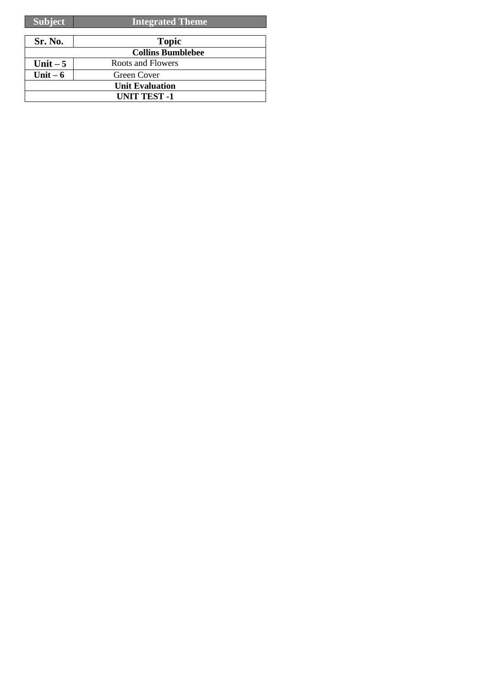| <b>Subject</b> | <b>Integrated Theme</b>  |
|----------------|--------------------------|
|                |                          |
| Sr. No.        | <b>Topic</b>             |
|                | <b>Collins Bumblebee</b> |
| Unit $-5$      | Roots and Flowers        |
| Unit $-6$      | Green Cover              |
|                | <b>Unit Evaluation</b>   |
|                | <b>UNIT TEST -1</b>      |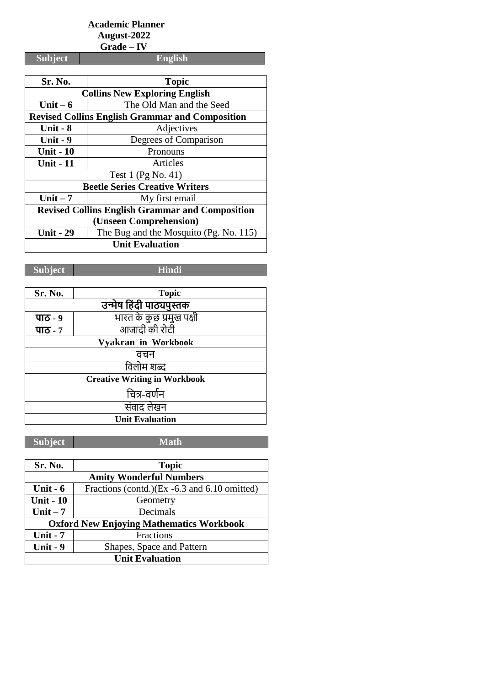# **Academic Planner August-2022**

 **Grade – IV**

**Subject English**

| Sr. No.                                                | <b>Topic</b>                                           |  |
|--------------------------------------------------------|--------------------------------------------------------|--|
| <b>Collins New Exploring English</b>                   |                                                        |  |
| Unit $-6$                                              | The Old Man and the Seed                               |  |
|                                                        | <b>Revised Collins English Grammar and Composition</b> |  |
| Unit $-8$                                              | Adjectives                                             |  |
| Unit $-9$                                              | Degrees of Comparison                                  |  |
| <b>Unit - 10</b>                                       | Pronouns                                               |  |
| <b>Unit - 11</b>                                       | Articles                                               |  |
|                                                        | Test 1 (Pg No. 41)                                     |  |
|                                                        | <b>Beetle Series Creative Writers</b>                  |  |
| Unit $-7$                                              | My first email                                         |  |
| <b>Revised Collins English Grammar and Composition</b> |                                                        |  |
| (Unseen Comprehension)                                 |                                                        |  |
| <b>Unit - 29</b>                                       | The Bug and the Mosquito (Pg. No. 115)                 |  |
| <b>Unit Evaluation</b>                                 |                                                        |  |

**Subject Hindi**

| Sr. No.                             | <b>Topic</b>             |  |  |
|-------------------------------------|--------------------------|--|--|
|                                     | उन्मेष हिंदी पाठ्यपुस्तक |  |  |
| पाठ - ९                             | भारत के कुछ प्रमुख पक्षी |  |  |
| पाठ - ७                             | आजादी की रोटी            |  |  |
| Vyakran in Workbook                 |                          |  |  |
| वचन                                 |                          |  |  |
| विलोम शब्द                          |                          |  |  |
| <b>Creative Writing in Workbook</b> |                          |  |  |
| चित्र-वर्णन                         |                          |  |  |
| संवाद लेखन                          |                          |  |  |
| <b>Unit Evaluation</b>              |                          |  |  |

| Sr. No.                                         | <b>Topic</b>                                 |  |
|-------------------------------------------------|----------------------------------------------|--|
| <b>Amity Wonderful Numbers</b>                  |                                              |  |
| Unit $-6$                                       | Fractions (contd.)(Ex -6.3 and 6.10 omitted) |  |
| <b>Unit - 10</b>                                | Geometry                                     |  |
| Unit $-7$                                       | Decimals                                     |  |
| <b>Oxford New Enjoying Mathematics Workbook</b> |                                              |  |
| <b>Unit - 7</b>                                 | Fractions                                    |  |
| Unit - 9                                        | Shapes, Space and Pattern                    |  |
| <b>Unit Evaluation</b>                          |                                              |  |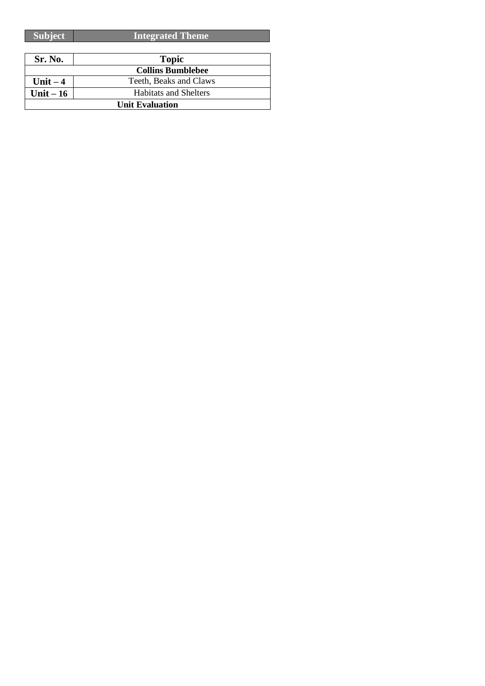| <b>Subject</b>         | <b>Integrated Theme</b>      |
|------------------------|------------------------------|
|                        |                              |
| Sr. No.                | <b>Topic</b>                 |
|                        | <b>Collins Bumblebee</b>     |
| Unit $-4$              | Teeth, Beaks and Claws       |
| Unit $-16$             | <b>Habitats and Shelters</b> |
| <b>Unit Evaluation</b> |                              |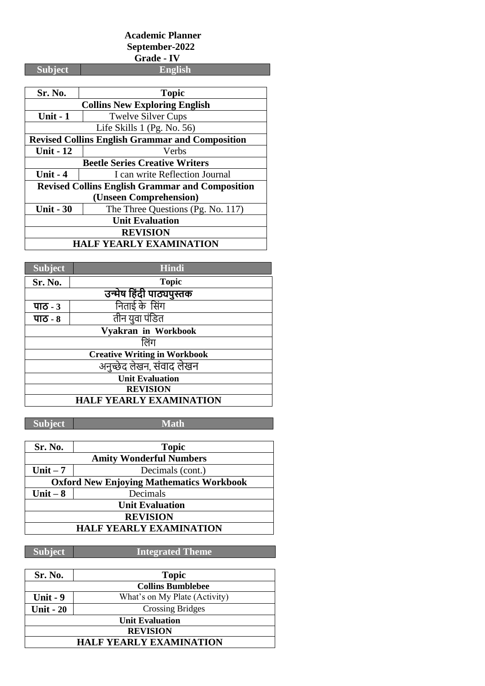### **Academic Planner September-2022 Grade - IV**

| <b>Subject</b>                                         | <b>English</b>                                         |  |
|--------------------------------------------------------|--------------------------------------------------------|--|
|                                                        |                                                        |  |
| Sr. No.                                                | <b>Topic</b>                                           |  |
|                                                        | <b>Collins New Exploring English</b>                   |  |
| Unit - 1                                               | <b>Twelve Silver Cups</b>                              |  |
| Life Skills $1$ (Pg. No. 56)                           |                                                        |  |
|                                                        | <b>Revised Collins English Grammar and Composition</b> |  |
| <b>Unit - 12</b>                                       | Verbs                                                  |  |
|                                                        | <b>Beetle Series Creative Writers</b>                  |  |
| Unit $-4$                                              | I can write Reflection Journal                         |  |
| <b>Revised Collins English Grammar and Composition</b> |                                                        |  |
| (Unseen Comprehension)                                 |                                                        |  |
| <b>Unit - 30</b>                                       | The Three Questions (Pg. No. 117)                      |  |
| <b>Unit Evaluation</b>                                 |                                                        |  |
| <b>REVISION</b>                                        |                                                        |  |
| <b>HALF YEARLY EXAMINATION</b>                         |                                                        |  |

| <b>Subject</b>                      | Hindi          |  |  |
|-------------------------------------|----------------|--|--|
| Sr. No.                             | <b>Topic</b>   |  |  |
| उन्मेष हिंदी पाठ्यपुस्तक            |                |  |  |
| पाठ - ३                             | निताई के सिंग  |  |  |
| पाठ - ८                             | तीन युवा पंडित |  |  |
| Vyakran in Workbook                 |                |  |  |
|                                     | लिंग           |  |  |
| <b>Creative Writing in Workbook</b> |                |  |  |
| अनुच्छेद लेखन, संवाद लेखन           |                |  |  |
| <b>Unit Evaluation</b>              |                |  |  |
| <b>REVISION</b>                     |                |  |  |
| <b>HALF YEARLY EXAMINATION</b>      |                |  |  |

**Subject Math**

| Sr. No.                                         | <b>Topic</b>     |  |
|-------------------------------------------------|------------------|--|
| <b>Amity Wonderful Numbers</b>                  |                  |  |
| Unit $-7$                                       | Decimals (cont.) |  |
| <b>Oxford New Enjoying Mathematics Workbook</b> |                  |  |
| Unit $-8$                                       | Decimals         |  |
| <b>Unit Evaluation</b>                          |                  |  |
| <b>REVISION</b>                                 |                  |  |
| <b>HALF YEARLY EXAMINATION</b>                  |                  |  |

| Sr. No.                        | <b>Topic</b>                  |
|--------------------------------|-------------------------------|
| <b>Collins Bumblebee</b>       |                               |
| Unit $-9$                      | What's on My Plate (Activity) |
| <b>Unit - 20</b>               | <b>Crossing Bridges</b>       |
| <b>Unit Evaluation</b>         |                               |
| <b>REVISION</b>                |                               |
| <b>HALF YEARLY EXAMINATION</b> |                               |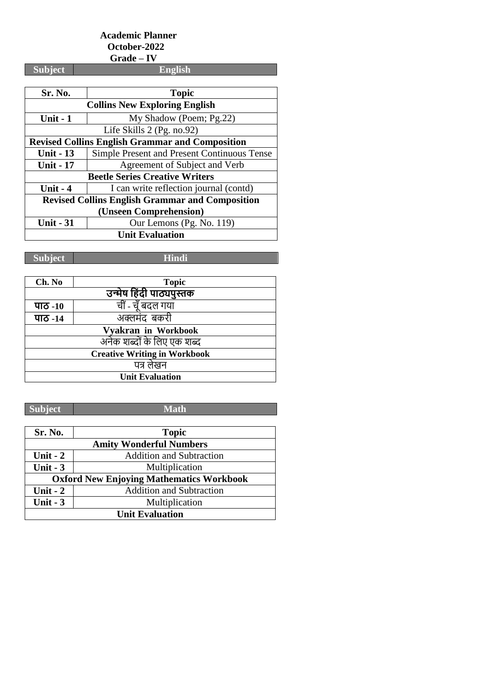# **Academic Planner October-2022 Grade – IV**

**Subject English**

| Sr. No.                                                | <b>Topic</b>                                |
|--------------------------------------------------------|---------------------------------------------|
| <b>Collins New Exploring English</b>                   |                                             |
| <b>Unit - 1</b>                                        | My Shadow (Poem; Pg.22)                     |
|                                                        | Life Skills 2 (Pg. no.92)                   |
| <b>Revised Collins English Grammar and Composition</b> |                                             |
| <b>Unit - 13</b>                                       | Simple Present and Present Continuous Tense |
| <b>Unit - 17</b>                                       | Agreement of Subject and Verb               |
|                                                        | <b>Beetle Series Creative Writers</b>       |
| Unit $-4$                                              | I can write reflection journal (contd)      |
| <b>Revised Collins English Grammar and Composition</b> |                                             |
| (Unseen Comprehension)                                 |                                             |
| <b>Unit - 31</b>                                       | Our Lemons (Pg. No. 119)                    |
| <b>Unit Evaluation</b>                                 |                                             |

**Subject Hindi**

| Ch. No                              | <b>Topic</b>      |  |
|-------------------------------------|-------------------|--|
| उन्मेष हिंदी पाठ्यपुस्तक            |                   |  |
| पाठ -10                             | चीं - चूँ बदल गया |  |
| पाठ -14                             | अक्लमंद बकरी      |  |
| Vyakran in Workbook                 |                   |  |
| अनेक शब्दों के लिए एक शब्द          |                   |  |
| <b>Creative Writing in Workbook</b> |                   |  |
| पत्र लेखन                           |                   |  |
| <b>Unit Evaluation</b>              |                   |  |

| Sr. No.                                         | <b>Topic</b>                    |  |
|-------------------------------------------------|---------------------------------|--|
| <b>Amity Wonderful Numbers</b>                  |                                 |  |
| Unit - $2$                                      | <b>Addition and Subtraction</b> |  |
| Unit $-3$                                       | Multiplication                  |  |
| <b>Oxford New Enjoying Mathematics Workbook</b> |                                 |  |
| Unit $-2$                                       | <b>Addition and Subtraction</b> |  |
| Unit $-3$                                       | Multiplication                  |  |
| <b>Unit Evaluation</b>                          |                                 |  |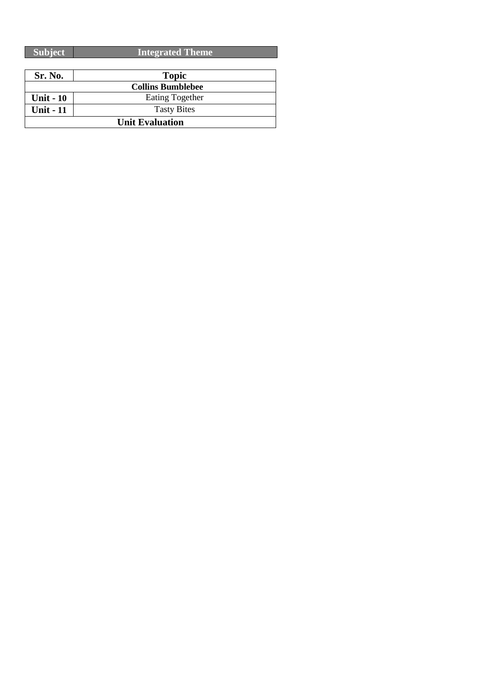| Sr. No.                | <b>Topic</b>             |
|------------------------|--------------------------|
|                        | <b>Collins Bumblebee</b> |
| <b>Unit - 10</b>       | <b>Eating Together</b>   |
| <b>Unit - 11</b>       | <b>Tasty Bites</b>       |
| <b>Unit Evaluation</b> |                          |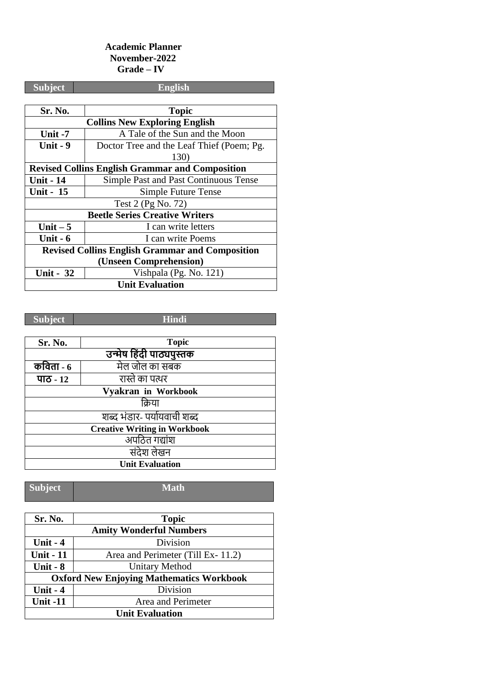#### **Academic Planner November-2022 Grade – IV**

| <b>Subject</b>                                         | <b>English</b>                            |  |
|--------------------------------------------------------|-------------------------------------------|--|
|                                                        |                                           |  |
| <b>Sr. No.</b>                                         | <b>Topic</b>                              |  |
|                                                        | <b>Collins New Exploring English</b>      |  |
| Unit $-7$                                              | A Tale of the Sun and the Moon            |  |
| Unit - 9                                               | Doctor Tree and the Leaf Thief (Poem; Pg. |  |
|                                                        | 130)                                      |  |
| <b>Revised Collins English Grammar and Composition</b> |                                           |  |
| <b>Unit - 14</b>                                       | Simple Past and Past Continuous Tense     |  |
| <b>Unit - 15</b>                                       | Simple Future Tense                       |  |
| Test 2 (Pg No. 72)                                     |                                           |  |
| <b>Beetle Series Creative Writers</b>                  |                                           |  |
| Unit $-5$                                              | I can write letters                       |  |
| Unit $-6$                                              | I can write Poems                         |  |
| <b>Revised Collins English Grammar and Composition</b> |                                           |  |
| (Unseen Comprehension)                                 |                                           |  |
| <b>Unit - 32</b>                                       | Vishpala (Pg. No. 121)                    |  |
| <b>Unit Evaluation</b>                                 |                                           |  |

**Subject Hindi**

| Sr. No.                             | <b>Topic</b>        |  |
|-------------------------------------|---------------------|--|
| उन्मेष हिंदी पाठ्यपुस्तक            |                     |  |
| कविता - $6$                         | मेल जोल का सबक      |  |
| पाठ - 12                            | रास्ते का पत्थर     |  |
|                                     | Vyakran in Workbook |  |
| क्रिया                              |                     |  |
| शब्द भंडार- पर्यायवाची शब्द         |                     |  |
| <b>Creative Writing in Workbook</b> |                     |  |
| अपठित गद्यांश                       |                     |  |
| संदेश लेखन                          |                     |  |
| <b>Unit Evaluation</b>              |                     |  |

| Sr. No.                                         | <b>Topic</b>                      |  |
|-------------------------------------------------|-----------------------------------|--|
| <b>Amity Wonderful Numbers</b>                  |                                   |  |
| Unit $-4$                                       | Division                          |  |
| <b>Unit - 11</b>                                | Area and Perimeter (Till Ex-11.2) |  |
| Unit - $8$                                      | <b>Unitary Method</b>             |  |
| <b>Oxford New Enjoying Mathematics Workbook</b> |                                   |  |
| Unit $-4$                                       | Division                          |  |
| <b>Unit -11</b>                                 | Area and Perimeter                |  |
| <b>Unit Evaluation</b>                          |                                   |  |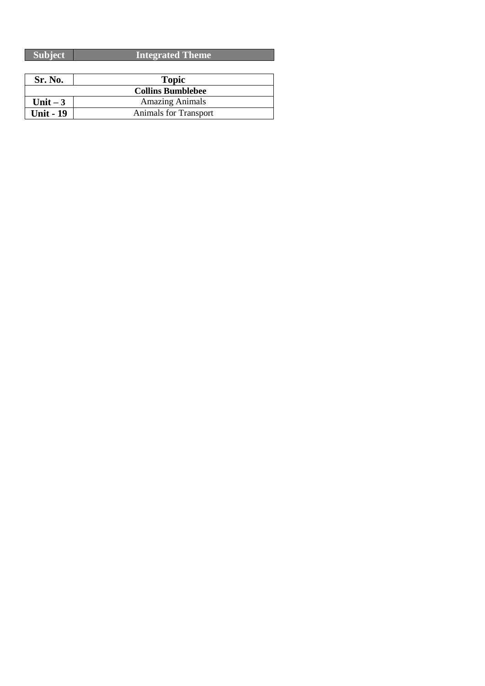| <b>Subject</b>   | <b>Integrated Theme</b>      |
|------------------|------------------------------|
|                  |                              |
| Sr. No.          | <b>Topic</b>                 |
|                  | <b>Collins Bumblebee</b>     |
| Unit $-3$        | <b>Amazing Animals</b>       |
| <b>Unit - 19</b> | <b>Animals for Transport</b> |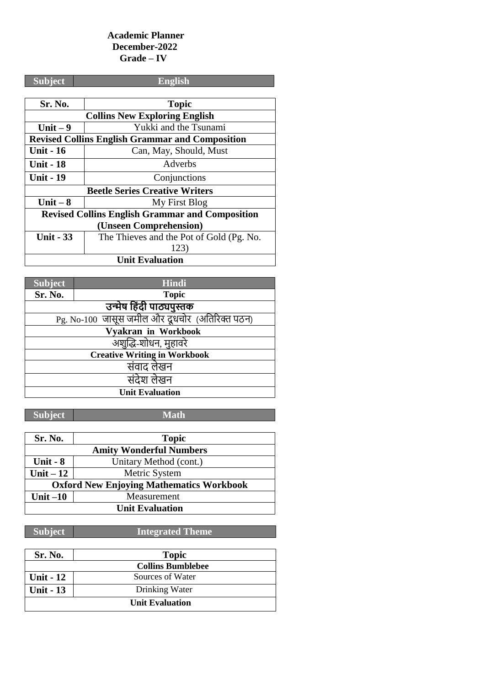#### **Academic Planner December-2022 Grade – IV**

| <b>Subject</b>                                         | English                                  |  |
|--------------------------------------------------------|------------------------------------------|--|
|                                                        |                                          |  |
| Sr. No.                                                | <b>Topic</b>                             |  |
|                                                        | <b>Collins New Exploring English</b>     |  |
| Unit $-9$                                              | Yukki and the Tsunami                    |  |
| <b>Revised Collins English Grammar and Composition</b> |                                          |  |
| <b>Unit - 16</b>                                       | Can, May, Should, Must                   |  |
| <b>Unit - 18</b>                                       | Adverbs                                  |  |
| Unit - 19                                              | Conjunctions                             |  |
| <b>Beetle Series Creative Writers</b>                  |                                          |  |
| Unit $-8$                                              | My First Blog                            |  |
| <b>Revised Collins English Grammar and Composition</b> |                                          |  |
| (Unseen Comprehension)                                 |                                          |  |
| <b>Unit - 33</b>                                       | The Thieves and the Pot of Gold (Pg. No. |  |
|                                                        | 123)                                     |  |
| <b>Unit Evaluation</b>                                 |                                          |  |

| <b>Subject</b>                                 | <b>Hindi</b>             |  |
|------------------------------------------------|--------------------------|--|
| Sr. No.                                        | <b>Topic</b>             |  |
|                                                | उन्मेष हिंदी पाठ्यपुस्तक |  |
| Pg. No-100 जासूस जमील और दूधचोर (अतिरिक्त पठन) |                          |  |
| Vyakran in Workbook                            |                          |  |
| अशुद्धि-शोधन, मुहावरे                          |                          |  |
| <b>Creative Writing in Workbook</b>            |                          |  |
| संवाद लेखन                                     |                          |  |
| संदेश लेखन                                     |                          |  |
| <b>Unit Evaluation</b>                         |                          |  |

**Subject Math** 

| Sr. No.                                         | <b>Topic</b>           |  |
|-------------------------------------------------|------------------------|--|
| <b>Amity Wonderful Numbers</b>                  |                        |  |
| Unit $-8$                                       | Unitary Method (cont.) |  |
| Unit $-12$                                      | Metric System          |  |
| <b>Oxford New Enjoying Mathematics Workbook</b> |                        |  |
| Unit $-10$                                      | Measurement            |  |
| <b>Unit Evaluation</b>                          |                        |  |

| Sr. No.          | <b>Topic</b>             |
|------------------|--------------------------|
|                  | <b>Collins Bumblebee</b> |
| <b>Unit - 12</b> | Sources of Water         |
| <b>Unit - 13</b> | Drinking Water           |
|                  | <b>Unit Evaluation</b>   |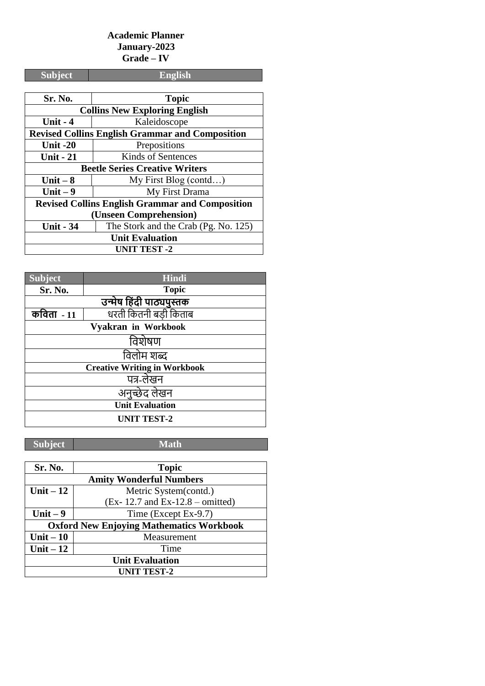### **Academic Planner January-2023 Grade – IV**

| <b>Subject</b>                                         | <b>English</b>                        |  |
|--------------------------------------------------------|---------------------------------------|--|
|                                                        |                                       |  |
| Sr. No.                                                | <b>Topic</b>                          |  |
|                                                        | <b>Collins New Exploring English</b>  |  |
| <b>Unit - 4</b>                                        | Kaleidoscope                          |  |
| <b>Revised Collins English Grammar and Composition</b> |                                       |  |
| Unit $-20$                                             | Prepositions                          |  |
| <b>Unit - 21</b>                                       | Kinds of Sentences                    |  |
|                                                        | <b>Beetle Series Creative Writers</b> |  |
| Unit $-8$                                              | My First Blog (contd)                 |  |
| Unit $-9$                                              | My First Drama                        |  |
| <b>Revised Collins English Grammar and Composition</b> |                                       |  |
| (Unseen Comprehension)                                 |                                       |  |
| <b>Unit - 34</b>                                       | The Stork and the Crab (Pg. No. 125)  |  |
| <b>Unit Evaluation</b>                                 |                                       |  |
| <b>UNIT TEST -2</b>                                    |                                       |  |

| <b>Subject</b>                      | Hindi                    |  |
|-------------------------------------|--------------------------|--|
| Sr. No.                             | <b>Topic</b>             |  |
|                                     | उन्मेष हिंदी पाठ्यपुस्तक |  |
| कविता <b>-</b> 11                   | धरती कितनी बड़ी किताब    |  |
|                                     | Vyakran in Workbook      |  |
| विशेषण                              |                          |  |
| विलोम शब्द                          |                          |  |
| <b>Creative Writing in Workbook</b> |                          |  |
| पत्र-लेखन                           |                          |  |
| अनुच्छेद लेखन                       |                          |  |
| <b>Unit Evaluation</b>              |                          |  |
| <b>UNIT TEST-2</b>                  |                          |  |

| Sr. No.                                         | <b>Topic</b>                        |  |  |
|-------------------------------------------------|-------------------------------------|--|--|
| <b>Amity Wonderful Numbers</b>                  |                                     |  |  |
| Unit $-12$                                      | Metric System(contd.)               |  |  |
|                                                 | $(Ex-12.7$ and $Ex-12.8$ – omitted) |  |  |
| Unit $-9$                                       | Time (Except Ex-9.7)                |  |  |
| <b>Oxford New Enjoying Mathematics Workbook</b> |                                     |  |  |
| Unit $-10$                                      | Measurement                         |  |  |
| Unit $-12$                                      | Time                                |  |  |
| <b>Unit Evaluation</b>                          |                                     |  |  |
| <b>UNIT TEST-2</b>                              |                                     |  |  |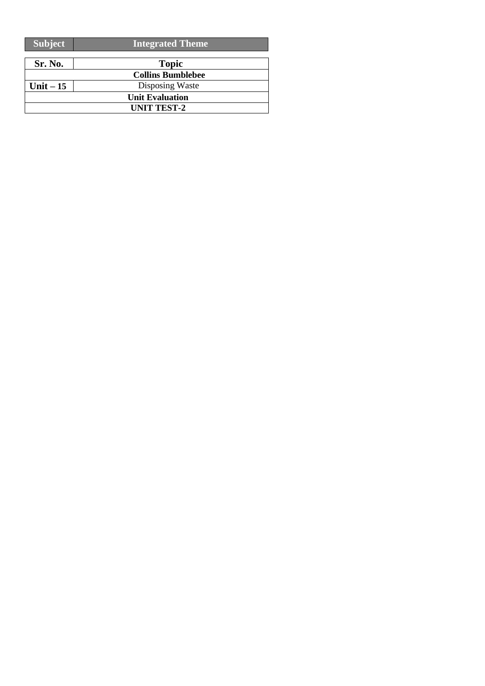| <b>Subject</b> | <b>Integrated Theme</b>  |  |
|----------------|--------------------------|--|
| Sr. No.        | <b>Topic</b>             |  |
|                | <b>Collins Bumblebee</b> |  |
| Unit $-15$     | Disposing Waste          |  |
|                | <b>Unit Evaluation</b>   |  |
|                | <b>UNIT TEST-2</b>       |  |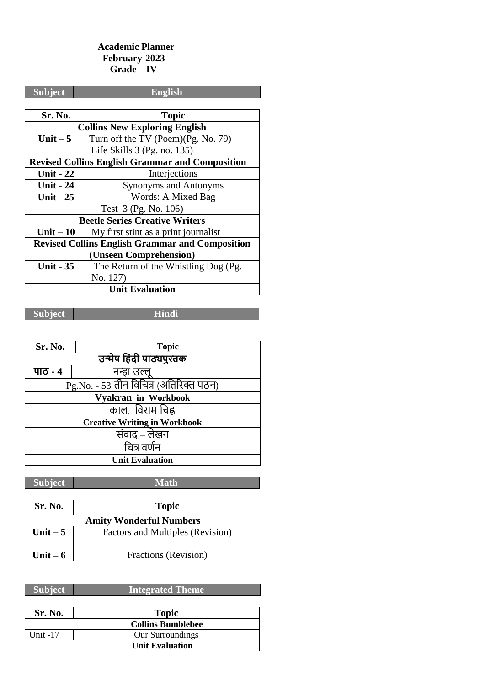## **Academic Planner February-2023 Grade – IV**

| <b>Subject</b>                                         | <b>English</b>                       |  |  |  |
|--------------------------------------------------------|--------------------------------------|--|--|--|
|                                                        |                                      |  |  |  |
| <b>Sr. No.</b>                                         | <b>Topic</b>                         |  |  |  |
| <b>Collins New Exploring English</b>                   |                                      |  |  |  |
| Unit $-5$                                              | Turn off the TV (Poem)(Pg. No. 79)   |  |  |  |
|                                                        | Life Skills 3 (Pg. no. 135)          |  |  |  |
| <b>Revised Collins English Grammar and Composition</b> |                                      |  |  |  |
| <b>Unit - 22</b>                                       | Interjections                        |  |  |  |
| <b>Unit - 24</b>                                       | <b>Synonyms and Antonyms</b>         |  |  |  |
| <b>Unit - 25</b>                                       | Words: A Mixed Bag                   |  |  |  |
| Test 3 (Pg. No. 106)                                   |                                      |  |  |  |
| <b>Beetle Series Creative Writers</b>                  |                                      |  |  |  |
| Unit $-10$                                             | My first stint as a print journalist |  |  |  |
| <b>Revised Collins English Grammar and Composition</b> |                                      |  |  |  |
| (Unseen Comprehension)                                 |                                      |  |  |  |
| <b>Unit - 35</b>                                       | The Return of the Whistling Dog (Pg. |  |  |  |
|                                                        | No. 127)                             |  |  |  |
| <b>Unit Evaluation</b>                                 |                                      |  |  |  |

**Subject Hindi**

| Sr. No.                                | <b>Topic</b> |  |  |  |
|----------------------------------------|--------------|--|--|--|
| उन्मेष हिंदी पाठ्यपुस्तक               |              |  |  |  |
| पाठ - ४                                | नन्हा उल्लू  |  |  |  |
| Pg.No. - 53 तीन विचित्र (अतिरिक्त पठन) |              |  |  |  |
| Vyakran in Workbook                    |              |  |  |  |
| काल, विराम चिह्न                       |              |  |  |  |
| <b>Creative Writing in Workbook</b>    |              |  |  |  |
| संवाद – लेखन                           |              |  |  |  |
| चित्र वर्णन                            |              |  |  |  |
| <b>Unit Evaluation</b>                 |              |  |  |  |

**Subject Math**

| <b>Sr. No.</b>                 | <b>Topic</b>                     |  |
|--------------------------------|----------------------------------|--|
| <b>Amity Wonderful Numbers</b> |                                  |  |
| Unit $-5$                      | Factors and Multiples (Revision) |  |
| Unit $-6$                      | Fractions (Revision)             |  |

| Sr. No.    | <b>Topic</b>             |
|------------|--------------------------|
|            | <b>Collins Bumblebee</b> |
| Unit $-17$ | Our Surroundings         |
|            | <b>Unit Evaluation</b>   |